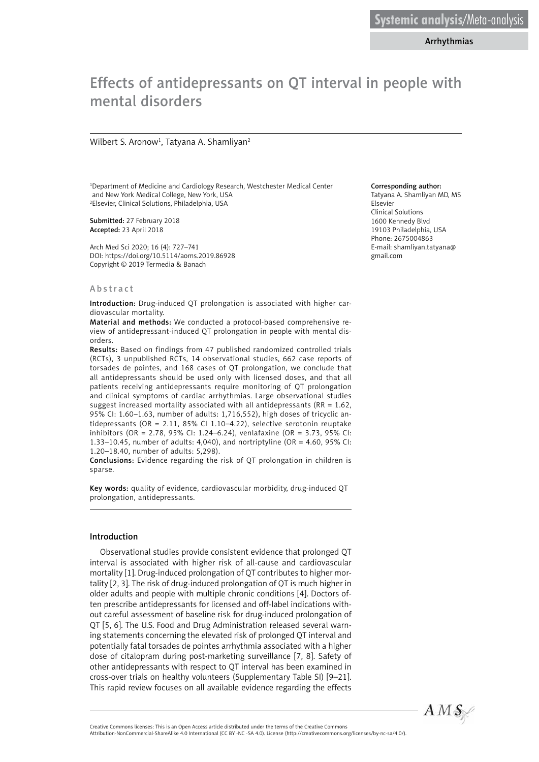Arrhythmias

# Effects of antidepressants on QT interval in people with mental disorders

#### Wilbert S. Aronow<sup>1</sup>, Tatyana A. Shamliyan<sup>2</sup>

1 Department of Medicine and Cardiology Research, Westchester Medical Center and New York Medical College, New York, USA 2 Elsevier, Clinical Solutions, Philadelphia, USA

Submitted: 27 February 2018 Accepted: 23 April 2018

Arch Med Sci 2020; 16 (4): 727–741 DOI: https://doi.org/10.5114/aoms.2019.86928 Copyright © 2019 Termedia & Banach

#### Abstract

Introduction: Drug-induced QT prolongation is associated with higher cardiovascular mortality.

Material and methods: We conducted a protocol-based comprehensive review of antidepressant-induced QT prolongation in people with mental disorders.

Results: Based on findings from 47 published randomized controlled trials (RCTs), 3 unpublished RCTs, 14 observational studies, 662 case reports of torsades de pointes, and 168 cases of QT prolongation, we conclude that all antidepressants should be used only with licensed doses, and that all patients receiving antidepressants require monitoring of QT prolongation and clinical symptoms of cardiac arrhythmias. Large observational studies suggest increased mortality associated with all antidepressants (RR = 1.62, 95% CI: 1.60–1.63, number of adults: 1,716,552), high doses of tricyclic antidepressants (OR = 2.11, 85% CI 1.10–4.22), selective serotonin reuptake inhibitors (OR = 2.78, 95% CI: 1.24–6.24), venlafaxine (OR = 3.73, 95% CI: 1.33–10.45, number of adults: 4,040), and nortriptyline (OR = 4.60, 95% CI: 1.20–18.40, number of adults: 5,298).

Conclusions: Evidence regarding the risk of QT prolongation in children is sparse.

Key words: quality of evidence, cardiovascular morbidity, drug-induced QT prolongation, antidepressants.

#### Introduction

Observational studies provide consistent evidence that prolonged QT interval is associated with higher risk of all-cause and cardiovascular mortality [1]. Drug-induced prolongation of QT contributes to higher mortality [2, 3]. The risk of drug-induced prolongation of QT is much higher in older adults and people with multiple chronic conditions [4]. Doctors often prescribe antidepressants for licensed and off-label indications without careful assessment of baseline risk for drug-induced prolongation of QT [5, 6]. The U.S. Food and Drug Administration released several warning statements concerning the elevated risk of prolonged QT interval and potentially fatal torsades de pointes arrhythmia associated with a higher dose of citalopram during post-marketing surveillance [7, 8]. Safety of other antidepressants with respect to QT interval has been examined in cross-over trials on healthy volunteers (Supplementary Table SI) [9–21]. This rapid review focuses on all available evidence regarding the effects

#### Corresponding author:

Tatyana A. Shamliyan MD, MS Elsevier Clinical Solutions 1600 Kennedy Blvd 19103 Philadelphia, USA Phone: 2675004863 E-mail: shamliyan.tatyana@ gmail.com



Attribution-NonCommercial-ShareAlike 4.0 International (CC BY -NC -SA 4.0). License (http://creativecommons.org/licenses/by-nc-sa/4.0/).

Creative Commons licenses: This is an Open Access article distributed under the terms of the Creative Commons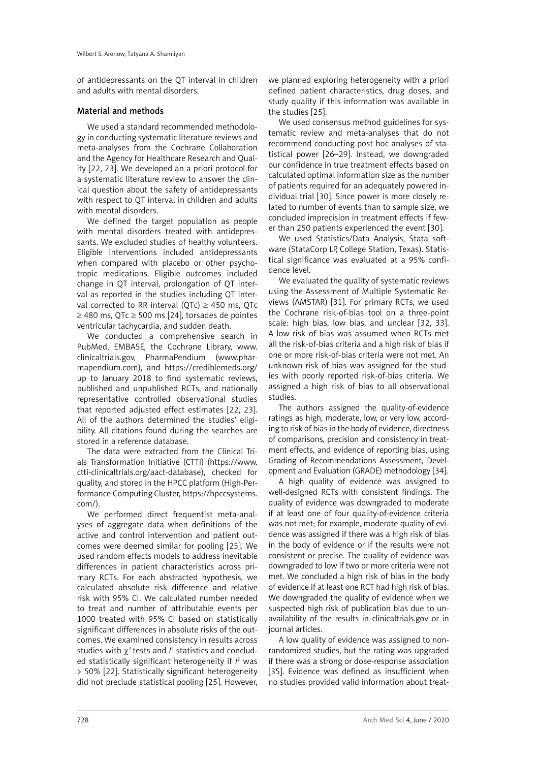of antidepressants on the QT interval in children and adults with mental disorders.

#### Material and methods

We used a standard recommended methodology in conducting systematic literature reviews and meta-analyses from the Cochrane Collaboration and the Agency for Healthcare Research and Quality [22, 23]. We developed an a priori protocol for a systematic literature review to answer the clinical question about the safety of antidepressants with respect to QT interval in children and adults with mental disorders.

We defined the target population as people with mental disorders treated with antidepressants. We excluded studies of healthy volunteers. Eligible interventions included antidepressants when compared with placebo or other psychotropic medications. Eligible outcomes included change in QT interval, prolongation of QT interval as reported in the studies including QT interval corrected to RR interval (OTc)  $\geq$  450 ms, OTc ≥ 480 ms, QTc ≥ 500 ms [24], torsades de pointes ventricular tachycardia, and sudden death.

We conducted a comprehensive search in PubMed, EMBASE, the Cochrane Library, www. clinicaltrials.gov, PharmaPendium ([www.phar](http://www.pharmapendium.com)[mapendium.com\)](http://www.pharmapendium.com), and <https://crediblemeds.org/> up to January 2018 to find systematic reviews, published and unpublished RCTs, and nationally representative controlled observational studies that reported adjusted effect estimates [22, 23]. All of the authors determined the studies' eligibility. All citations found during the searches are stored in a reference database.

The data were extracted from the Clinical Trials Transformation Initiative (CTTI) ([https://www.](https://www.ctti-clinicaltrials.org/aact-database) [ctti-clinicaltrials.org/aact-database](https://www.ctti-clinicaltrials.org/aact-database)), checked for quality, and stored in the HPCC platform (High-Performance Computing Cluster, https://hpccsystems. com/).

We performed direct frequentist meta-analyses of aggregate data when definitions of the active and control intervention and patient outcomes were deemed similar for pooling [25]. We used random effects models to address inevitable differences in patient characteristics across primary RCTs. For each abstracted hypothesis, we calculated absolute risk difference and relative risk with 95% CI. We calculated number needed to treat and number of attributable events per 1000 treated with 95% CI based on statistically significant differences in absolute risks of the outcomes. We examined consistency in results across studies with  $\chi^2$  tests and  $l^2$  statistics and concluded statistically significant heterogeneity if  $l<sup>2</sup>$  was > 50% [22]. Statistically significant heterogeneity did not preclude statistical pooling [25]. However,

we planned exploring heterogeneity with a priori defined patient characteristics, drug doses, and study quality if this information was available in the studies [25].

We used consensus method guidelines for systematic review and meta-analyses that do not recommend conducting post hoc analyses of statistical power [26–29]. Instead, we downgraded our confidence in true treatment effects based on calculated optimal information size as the number of patients required for an adequately powered individual trial [30]. Since power is more closely related to number of events than to sample size, we concluded imprecision in treatment effects if fewer than 250 patients experienced the event [30].

We used Statistics/Data Analysis, Stata software (StataCorp LP, College Station, Texas). Statistical significance was evaluated at a 95% confidence level.

We evaluated the quality of systematic reviews using the Assessment of Multiple Systematic Reviews (AMSTAR) [31]. For primary RCTs, we used the Cochrane risk-of-bias tool on a three-point scale: high bias, low bias, and unclear [32, 33]. A low risk of bias was assumed when RCTs met all the risk-of-bias criteria and a high risk of bias if one or more risk-of-bias criteria were not met. An unknown risk of bias was assigned for the studies with poorly reported risk-of-bias criteria. We assigned a high risk of bias to all observational studies.

The authors assigned the quality-of-evidence ratings as high, moderate, low, or very low, according to risk of bias in the body of evidence, directness of comparisons, precision and consistency in treatment effects, and evidence of reporting bias, using Grading of Recommendations Assessment, Development and Evaluation (GRADE) methodology [34].

A high quality of evidence was assigned to well-designed RCTs with consistent findings. The quality of evidence was downgraded to moderate if at least one of four quality-of-evidence criteria was not met; for example, moderate quality of evidence was assigned if there was a high risk of bias in the body of evidence or if the results were not consistent or precise. The quality of evidence was downgraded to low if two or more criteria were not met. We concluded a high risk of bias in the body of evidence if at least one RCT had high risk of bias. We downgraded the quality of evidence when we suspected high risk of publication bias due to unavailability of the results in clinicaltrials.gov or in journal articles.

A low quality of evidence was assigned to nonrandomized studies, but the rating was upgraded if there was a strong or dose-response association [35]. Evidence was defined as insufficient when no studies provided valid information about treat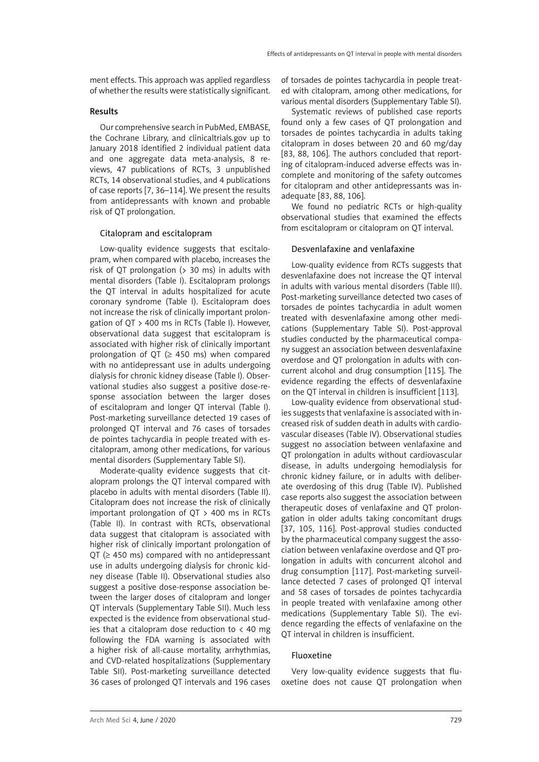ment effects. This approach was applied regardless of whether the results were statistically significant.

#### Results

Our comprehensive search in PubMed, EMBASE, the Cochrane Library, and clinicaltrials.gov up to January 2018 identified 2 individual patient data and one aggregate data meta-analysis, 8 reviews, 47 publications of RCTs, 3 unpublished RCTs, 14 observational studies, and 4 publications of case reports [7, 36–114]. We present the results from antidepressants with known and probable risk of QT prolongation.

#### Citalopram and escitalopram

Low-quality evidence suggests that escitalopram, when compared with placebo, increases the risk of QT prolongation  $(> 30 \text{ ms})$  in adults with mental disorders (Table I). Escitalopram prolongs the QT interval in adults hospitalized for acute coronary syndrome (Table I). Escitalopram does not increase the risk of clinically important prolongation of QT > 400 ms in RCTs (Table I). However, observational data suggest that escitalopram is associated with higher risk of clinically important prolongation of QT ( $\geq$  450 ms) when compared with no antidepressant use in adults undergoing dialysis for chronic kidney disease (Table I). Observational studies also suggest a positive dose-response association between the larger doses of escitalopram and longer QT interval (Table I). Post-marketing surveillance detected 19 cases of prolonged QT interval and 76 cases of torsades de pointes tachycardia in people treated with escitalopram, among other medications, for various mental disorders (Supplementary Table SI).

Moderate-quality evidence suggests that citalopram prolongs the QT interval compared with placebo in adults with mental disorders (Table II). Citalopram does not increase the risk of clinically important prolongation of QT > 400 ms in RCTs (Table II). In contrast with RCTs, observational data suggest that citalopram is associated with higher risk of clinically important prolongation of QT ( $\geq$  450 ms) compared with no antidepressant use in adults undergoing dialysis for chronic kidney disease (Table II). Observational studies also suggest a positive dose-response association between the larger doses of citalopram and longer QT intervals (Supplementary Table SII). Much less expected is the evidence from observational studies that a citalopram dose reduction to  $\langle$  40 mg following the FDA warning is associated with a higher risk of all-cause mortality, arrhythmias, and CVD-related hospitalizations (Supplementary Table SII). Post-marketing surveillance detected 36 cases of prolonged QT intervals and 196 cases of torsades de pointes tachycardia in people treated with citalopram, among other medications, for various mental disorders (Supplementary Table SI).

Systematic reviews of published case reports found only a few cases of QT prolongation and torsades de pointes tachycardia in adults taking citalopram in doses between 20 and 60 mg/day [83, 88, 106]. The authors concluded that reporting of citalopram-induced adverse effects was incomplete and monitoring of the safety outcomes for citalopram and other antidepressants was inadequate [83, 88, 106].

We found no pediatric RCTs or high-quality observational studies that examined the effects from escitalopram or citalopram on QT interval.

#### Desvenlafaxine and venlafaxine

Low-quality evidence from RCTs suggests that desvenlafaxine does not increase the QT interval in adults with various mental disorders (Table III). Post-marketing surveillance detected two cases of torsades de pointes tachycardia in adult women treated with desvenlafaxine among other medications (Supplementary Table SI). Post-approval studies conducted by the pharmaceutical company suggest an association between desvenlafaxine overdose and QT prolongation in adults with concurrent alcohol and drug consumption [115]. The evidence regarding the effects of desvenlafaxine on the QT interval in children is insufficient [113].

Low-quality evidence from observational studies suggests that venlafaxine is associated with increased risk of sudden death in adults with cardiovascular diseases (Table IV). Observational studies suggest no association between venlafaxine and QT prolongation in adults without cardiovascular disease, in adults undergoing hemodialysis for chronic kidney failure, or in adults with deliberate overdosing of this drug (Table IV). Published case reports also suggest the association between therapeutic doses of venlafaxine and QT prolongation in older adults taking concomitant drugs [37, 105, 116]. Post-approval studies conducted by the pharmaceutical company suggest the association between venlafaxine overdose and QT prolongation in adults with concurrent alcohol and drug consumption [117]. Post-marketing surveillance detected 7 cases of prolonged QT interval and 58 cases of torsades de pointes tachycardia in people treated with venlafaxine among other medications (Supplementary Table SI). The evidence regarding the effects of venlafaxine on the QT interval in children is insufficient.

#### Fluoxetine

Very low-quality evidence suggests that fluoxetine does not cause QT prolongation when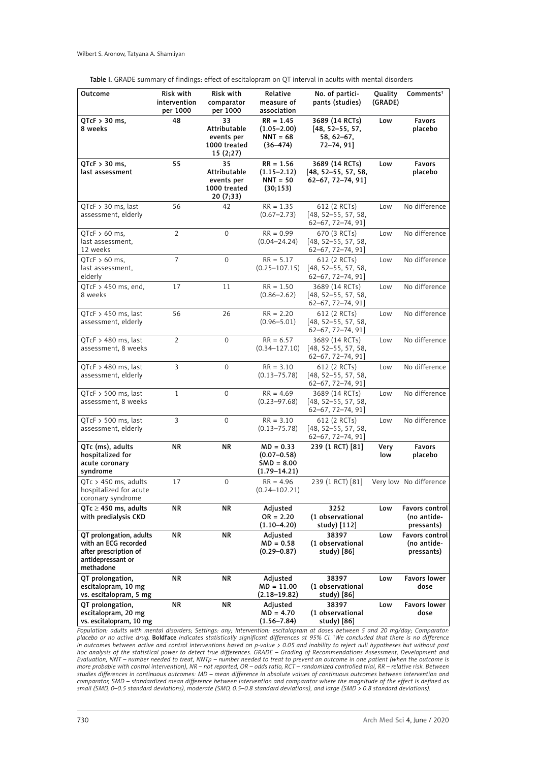| Outcome                                                                                                    | Risk with<br>intervention<br>per 1000 | Risk with<br>comparator<br>per 1000                           | Relative<br>measure of<br>association                              | No. of partici-<br>pants (studies)                                | Quality<br>(GRADE) | Comments <sup>†</sup>                       |
|------------------------------------------------------------------------------------------------------------|---------------------------------------|---------------------------------------------------------------|--------------------------------------------------------------------|-------------------------------------------------------------------|--------------------|---------------------------------------------|
| $QTCF > 30$ ms,<br>8 weeks                                                                                 | 48                                    | 33<br>Attributable<br>events per<br>1000 treated<br>15(2;27)  | $RR = 1.45$<br>$(1.05 - 2.00)$<br>$NNT = 68$<br>$(36 - 474)$       | 3689 (14 RCTs)<br>$[48, 52 - 55, 57,$<br>58, 62–67,<br>72–74, 91] | Low                | <b>Favors</b><br>placebo                    |
| $QTcF > 30$ ms,<br>last assessment                                                                         | 55                                    | 35<br>Attributable<br>events per<br>1000 treated<br>20 (7;33) | $RR = 1.56$<br>$(1.15 - 2.12)$<br>$NNT = 50$<br>(30;153)           | 3689 (14 RCTs)<br>$[48, 52 - 55, 57, 58,$<br>62-67, 72-74, 91]    | Low                | <b>Favors</b><br>placebo                    |
| $QTcF > 30$ ms, last<br>assessment, elderly                                                                | 56                                    | 42                                                            | $RR = 1.35$<br>$(0.67 - 2.73)$                                     | 612 (2 RCTs)<br>$[48, 52 - 55, 57, 58,$<br>$62-67, 72-74, 91$     | Low                | No difference                               |
| $QTcF > 60$ ms,<br>last assessment,<br>12 weeks                                                            | $\overline{2}$                        | $\mathbf 0$                                                   | $RR = 0.99$<br>$(0.04 - 24.24)$                                    | 670 (3 RCTs)<br>$[48, 52 - 55, 57, 58,$<br>$62-67, 72-74, 91$     | Low                | No difference                               |
| $QTCF > 60$ ms,<br>last assessment,<br>elderly                                                             | 7                                     | 0                                                             | $RR = 5.17$<br>$(0.25 - 107.15)$                                   | 612 (2 RCTs)<br>$[48, 52 - 55, 57, 58,$<br>$62-67, 72-74, 91$     | Low                | No difference                               |
| QTcF $>$ 450 ms, end,<br>8 weeks                                                                           | 17                                    | 11                                                            | $RR = 1.50$<br>$(0.86 - 2.62)$                                     | 3689 (14 RCTs)<br>$[48, 52 - 55, 57, 58]$<br>$62-67, 72-74, 91$   | Low                | No difference                               |
| QTcF $>$ 450 ms, last<br>assessment, elderly                                                               | 56                                    | 26                                                            | $RR = 2.20$<br>$(0.96 - 5.01)$                                     | 612 (2 RCTs)<br>$[48, 52 - 55, 57, 58,$<br>$62-67, 72-74, 91$     | Low                | No difference                               |
| $OTeF > 480$ ms, last<br>assessment, 8 weeks                                                               | $\overline{2}$                        | $\mathbf 0$                                                   | $RR = 6.57$<br>$(0.34 - 127.10)$                                   | 3689 (14 RCTs)<br>$[48, 52-55, 57, 58]$<br>$62-67, 72-74, 91$     | Low                | No difference                               |
| $QTcF > 480$ ms, last<br>assessment, elderly                                                               | 3                                     | 0                                                             | $RR = 3.10$<br>$(0.13 - 75.78)$                                    | 612 (2 RCTs)<br>$[48, 52-55, 57, 58]$<br>$62-67, 72-74, 91$       | Low                | No difference                               |
| $QTcF > 500$ ms, last<br>assessment, 8 weeks                                                               | $\mathbf{1}$                          | $\mathbf 0$                                                   | $RR = 4.69$<br>$(0.23 - 97.68)$                                    | 3689 (14 RCTs)<br>$[48, 52-55, 57, 58]$<br>62-67, 72-74, 91]      | Low                | No difference                               |
| $QTcF > 500$ ms, last<br>assessment, elderly                                                               | 3                                     | 0                                                             | $RR = 3.10$<br>$(0.13 - 75.78)$                                    | 612 (2 RCTs)<br>$[48, 52 - 55, 57, 58,$<br>$62-67, 72-74, 91$ ]   | Low                | No difference                               |
| QTc (ms), adults<br>hospitalized for<br>acute coronary<br>syndrome                                         | ΝR                                    | ΝR                                                            | $MD = 0.33$<br>$(0.07 - 0.58)$<br>$SMD = 8.00$<br>$(1.79 - 14.21)$ | 239 (1 RCT) [81]                                                  | Very<br>low        | <b>Favors</b><br>placebo                    |
| $QTc > 450$ ms, adults<br>hospitalized for acute<br>coronary syndrome                                      | 17                                    | 0                                                             | $RR = 4.96$<br>(0.24–102.21)                                       | 239 (1 RCT) [81]                                                  |                    | Very low No difference                      |
| QTc $\geq$ 450 ms, adults<br>with predialysis CKD                                                          | ΝR                                    | ΝR                                                            | Adjusted<br>$OR = 2.20$<br>$(1.10 - 4.20)$                         | 3252<br>(1 observational<br>study) [112]                          | Low                | Favors control<br>(no antide-<br>pressants) |
| QT prolongation, adults<br>with an ECG recorded<br>after prescription of<br>antidepressant or<br>methadone | <b>NR</b>                             | <b>NR</b>                                                     | Adjusted<br>$MD = 0.58$<br>$(0.29 - 0.87)$                         | 38397<br>(1 observational<br>study) [86]                          | Low                | Favors control<br>(no antide-<br>pressants) |
| QT prolongation,<br>escitalopram, 10 mg<br>vs. escitalopram, 5 mg                                          | <b>NR</b>                             | <b>NR</b>                                                     | Adjusted<br>$MD = 11.00$<br>$(2.18 - 19.82)$                       | 38397<br>(1 observational<br>study) [86]                          | Low                | <b>Favors lower</b><br>dose                 |
| QT prolongation,<br>escitalopram, 20 mg<br>vs. escitalopram, 10 mg                                         | ΝR                                    | ΝR                                                            | Adjusted<br>$MD = 4.70$<br>(1.56–7.84)                             | 38397<br>(1 observational<br>study) [86]                          | Low                | Favors lower<br>dose                        |

*Population: adults with mental disorders; Settings: any; Intervention: escitalopram at doses between 5 and 20 mg/day; Comparator: placebo or no active drug.* Boldface *indicates statistically significant differences at 95% CI. † We concluded that there is no difference in outcomes between active and control interventions based on p-value > 0.05 and inability to reject null hypotheses but without post hoc analysis of the statistical power to detect true differences. GRADE – Grading of Recommendations Assessment, Development and Evaluation, NNT – number needed to treat, NNTp – number needed to treat to prevent an outcome in one patient (when the outcome is more probable with control intervention), NR – not reported, OR – odds ratio, RCT – randomized controlled trial, RR – relative risk. Between studies differences in continuous outcomes: MD – mean difference in absolute values of continuous outcomes between intervention and comparator, SMD – standardized mean difference between intervention and comparator where the magnitude of the effect is defined as small (SMD, 0–0.5 standard deviations), moderate (SMD, 0.5–0.8 standard deviations), and large (SMD > 0.8 standard deviations).*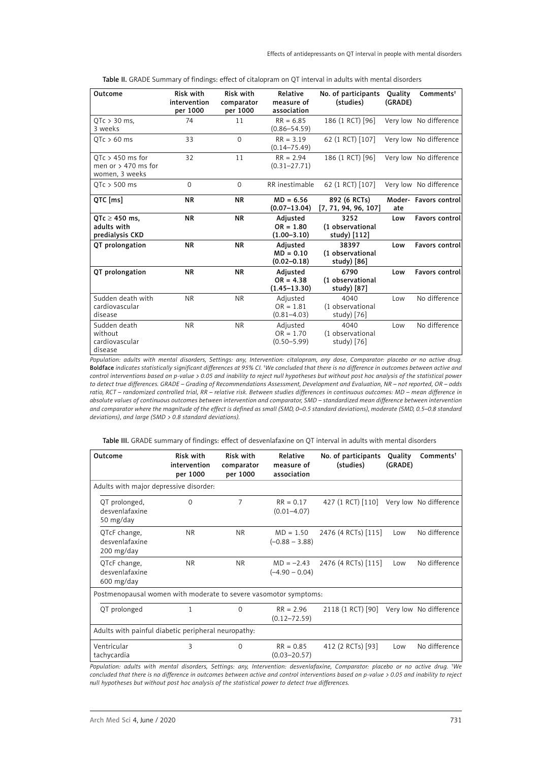Table II. GRADE Summary of findings: effect of citalopram on QT interval in adults with mental disorders

| Outcome                                                       | Risk with<br>intervention<br>per 1000 | Risk with<br>comparator<br>per 1000 | Relative<br>measure of<br>association       | No. of participants<br>(studies)         | Quality<br>(GRADE) | Comments <sup>†</sup>  |
|---------------------------------------------------------------|---------------------------------------|-------------------------------------|---------------------------------------------|------------------------------------------|--------------------|------------------------|
| $OTe > 30$ ms,<br>3 weeks                                     | 74                                    | 11                                  | $RR = 6.85$<br>$(0.86 - 54.59)$             | 186 (1 RCT) [96]                         |                    | Very low No difference |
| $QTc > 60$ ms                                                 | 33                                    | $\Omega$                            | $RR = 3.19$<br>$(0.14 - 75.49)$             | 62 (1 RCT) [107]                         |                    | Very low No difference |
| $OTc > 450$ ms for<br>men or $> 470$ ms for<br>women, 3 weeks | 32                                    | 11                                  | $RR = 2.94$<br>$(0.31 - 27.71)$             | 186 (1 RCT) [96]                         |                    | Very low No difference |
| $OTC > 500$ ms                                                | $\Omega$                              | $\Omega$                            | RR inestimable                              | 62 (1 RCT) [107]                         |                    | Very low No difference |
| QTC [ms]                                                      | <b>NR</b>                             | <b>NR</b>                           | $MD = 6.56$<br>$(0.07 - 13.04)$             | 892 (6 RCTs)<br>[7, 71, 94, 96, 107]     | ate                | Moder- Favors control  |
| QTc $\geq$ 450 ms,<br>adults with<br>predialysis CKD          | <b>NR</b>                             | <b>NR</b>                           | Adjusted<br>$OR = 1.80$<br>$(1.00 - 3.10)$  | 3252<br>(1 observational<br>study) [112] | Low                | <b>Favors control</b>  |
| QT prolongation                                               | <b>NR</b>                             | <b>NR</b>                           | Adjusted<br>$MD = 0.10$<br>$(0.02 - 0.18)$  | 38397<br>(1 observational<br>study) [86] | Low                | <b>Favors control</b>  |
| QT prolongation                                               | <b>NR</b>                             | <b>NR</b>                           | Adjusted<br>$OR = 4.38$<br>$(1.45 - 13.30)$ | 6790<br>(1 observational<br>study) [87]  | Low                | <b>Favors control</b>  |
| Sudden death with<br>cardiovascular<br>disease                | <b>NR</b>                             | <b>NR</b>                           | Adjusted<br>$OR = 1.81$<br>$(0.81 - 4.03)$  | 4040<br>(1 observational<br>study) [76]  | Low                | No difference          |
| Sudden death<br>without<br>cardiovascular<br>disease          | <b>NR</b>                             | <b>NR</b>                           | Adjusted<br>$OR = 1.70$<br>$(0.50 - 5.99)$  | 4040<br>(1 observational<br>study) [76]  | Low                | No difference          |

*Population: adults with mental disorders, Settings: any, Intervention: citalopram, any dose, Comparator: placebo or no active drug.*  Boldface *indicates statistically significant differences at 95% CI. † We concluded that there is no difference in outcomes between active and control interventions based on p-value > 0.05 and inability to reject null hypotheses but without post hoc analysis of the statistical power to detect true differences. GRADE – Grading of Recommendations Assessment, Development and Evaluation, NR – not reported, OR – odds*  ratio, RCT – randomized controlled trial, RR – relative risk. Between studies differences in continuous outcomes: MD – mean difference in *absolute values of continuous outcomes between intervention and comparator, SMD – standardized mean difference between intervention and comparator where the magnitude of the effect is defined as small (SMD, 0–0.5 standard deviations), moderate (SMD, 0.5–0.8 standard deviations), and large (SMD > 0.8 standard deviations).*

| Table III. GRADE summary of findings: effect of desvenlafaxine on QT interval in adults with mental disorders |  |  |  |  |
|---------------------------------------------------------------------------------------------------------------|--|--|--|--|
|                                                                                                               |  |  |  |  |

| Outcome                                                          | Risk with<br>intervention<br>per 1000 | Risk with<br>comparator<br>per 1000 | Relative<br>measure of<br>association | No. of participants<br>(studies) | Quality<br>(GRADE) | Comments <sup>†</sup>  |
|------------------------------------------------------------------|---------------------------------------|-------------------------------------|---------------------------------------|----------------------------------|--------------------|------------------------|
| Adults with major depressive disorder:                           |                                       |                                     |                                       |                                  |                    |                        |
| QT prolonged,<br>desvenlafaxine<br>50 mg/day                     | 0                                     | 7                                   | $RR = 0.17$<br>$(0.01 - 4.07)$        | 427 (1 RCT) [110]                |                    | Very low No difference |
| QTcF change,<br>desvenlafaxine<br>200 mg/day                     | <b>NR</b>                             | <b>NR</b>                           | $MD = 1.50$<br>$(-0.88 - 3.88)$       | 2476 (4 RCTs) [115]              | Low                | No difference          |
| OTcF change,<br>desvenlafaxine<br>600 mg/day                     | <b>NR</b>                             | <b>NR</b>                           | $MD = -2.43$<br>$(-4.90 - 0.04)$      | 2476 (4 RCTs) [115]              | Low                | No difference          |
| Postmenopausal women with moderate to severe vasomotor symptoms: |                                       |                                     |                                       |                                  |                    |                        |
| QT prolonged                                                     |                                       | $\Omega$                            | $RR = 2.96$<br>$(0.12 - 72.59)$       | 2118 (1 RCT) [90]                |                    | Very low No difference |
| Adults with painful diabetic peripheral neuropathy:              |                                       |                                     |                                       |                                  |                    |                        |
| Ventricular<br>tachycardia                                       | 3                                     | 0                                   | $RR = 0.85$<br>$(0.03 - 20.57)$       | 412 (2 RCTs) [93]                | Low                | No difference          |

*Population: adults with mental disorders, Settings: any, Intervention: desvenlafaxine, Comparator: placebo or no active drug. † We concluded that there is no difference in outcomes between active and control interventions based on p-value > 0.05 and inability to reject null hypotheses but without post hoc analysis of the statistical power to detect true differences.*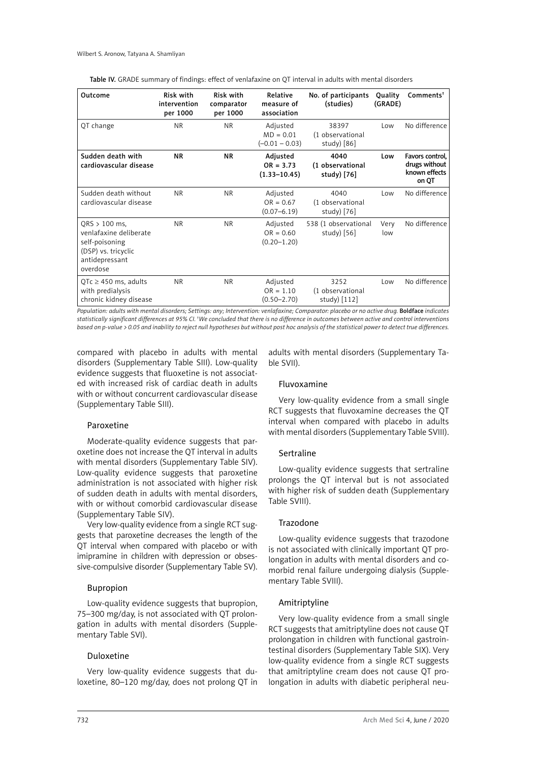| Outcome                                                                                                          | <b>Risk with</b><br>intervention<br>per 1000 | Risk with<br>comparator<br>per 1000 | Relative<br>measure of<br>association       | No. of participants<br>(studies)          | Quality<br>(GRADE) | Comments <sup>†</sup>                                      |
|------------------------------------------------------------------------------------------------------------------|----------------------------------------------|-------------------------------------|---------------------------------------------|-------------------------------------------|--------------------|------------------------------------------------------------|
| QT change                                                                                                        | <b>NR</b>                                    | <b>NR</b>                           | Adjusted<br>$MD = 0.01$<br>$(-0.01 - 0.03)$ | 38397<br>(1 observational<br>study $[86]$ | Low                | No difference                                              |
| Sudden death with<br>cardiovascular disease                                                                      | <b>NR</b>                                    | <b>NR</b>                           | Adjusted<br>$OR = 3.73$<br>$(1.33 - 10.45)$ | 4040<br>(1 observational<br>study) [76]   | Low                | Favors control,<br>drugs without<br>known effects<br>on QT |
| Sudden death without<br>cardiovascular disease                                                                   | <b>NR</b>                                    | <b>NR</b>                           | Adjusted<br>$OR = 0.67$<br>$(0.07 - 6.19)$  | 4040<br>(1 observational<br>study) [76]   | Low                | No difference                                              |
| $QRS$ > 100 ms,<br>venlafaxine deliberate<br>self-poisoning<br>(DSP) vs. tricyclic<br>antidepressant<br>overdose | <b>NR</b>                                    | <b>NR</b>                           | Adjusted<br>$OR = 0.60$<br>$(0.20 - 1.20)$  | 538 (1 observational<br>study $[56]$      | Very<br>low        | No difference                                              |
| QTc $\geq$ 450 ms, adults<br>with predialysis<br>chronic kidney disease                                          | <b>NR</b>                                    | <b>NR</b>                           | Adjusted<br>$OR = 1.10$<br>$(0.50 - 2.70)$  | 3252<br>(1 observational<br>study) [112]  | Low                | No difference                                              |

Table IV. GRADE summary of findings: effect of venlafaxine on QT interval in adults with mental disorders

Population: adults with mental disorders; Settings: any; Intervention: venlafaxine; Comparator: placebo or no active drug. Boldface indicates *statistically significant differences at 95% CI. † We concluded that there is no difference in outcomes between active and control interventions based on p-value > 0.05 and inability to reject null hypotheses but without post hoc analysis of the statistical power to detect true differences.*

compared with placebo in adults with mental disorders (Supplementary Table SIII). Low-quality evidence suggests that fluoxetine is not associated with increased risk of cardiac death in adults with or without concurrent cardiovascular disease (Supplementary Table SIII).

#### Paroxetine

Moderate-quality evidence suggests that paroxetine does not increase the QT interval in adults with mental disorders (Supplementary Table SIV). Low-quality evidence suggests that paroxetine administration is not associated with higher risk of sudden death in adults with mental disorders, with or without comorbid cardiovascular disease (Supplementary Table SIV).

Very low-quality evidence from a single RCT suggests that paroxetine decreases the length of the QT interval when compared with placebo or with imipramine in children with depression or obsessive-compulsive disorder (Supplementary Table SV).

# Bupropion

Low-quality evidence suggests that bupropion, 75–300 mg/day, is not associated with QT prolongation in adults with mental disorders (Supplementary Table SVI).

# Duloxetine

Very low-quality evidence suggests that duloxetine, 80–120 mg/day, does not prolong QT in adults with mental disorders (Supplementary Table SVII).

### Fluvoxamine

Very low-quality evidence from a small single RCT suggests that fluvoxamine decreases the QT interval when compared with placebo in adults with mental disorders (Supplementary Table SVIII).

#### Sertraline

Low-quality evidence suggests that sertraline prolongs the QT interval but is not associated with higher risk of sudden death (Supplementary Table SVIII).

# Trazodone

Low-quality evidence suggests that trazodone is not associated with clinically important QT prolongation in adults with mental disorders and comorbid renal failure undergoing dialysis (Supplementary Table SVIII).

# Amitriptyline

Very low-quality evidence from a small single RCT suggests that amitriptyline does not cause QT prolongation in children with functional gastrointestinal disorders (Supplementary Table SIX). Very low-quality evidence from a single RCT suggests that amitriptyline cream does not cause QT prolongation in adults with diabetic peripheral neu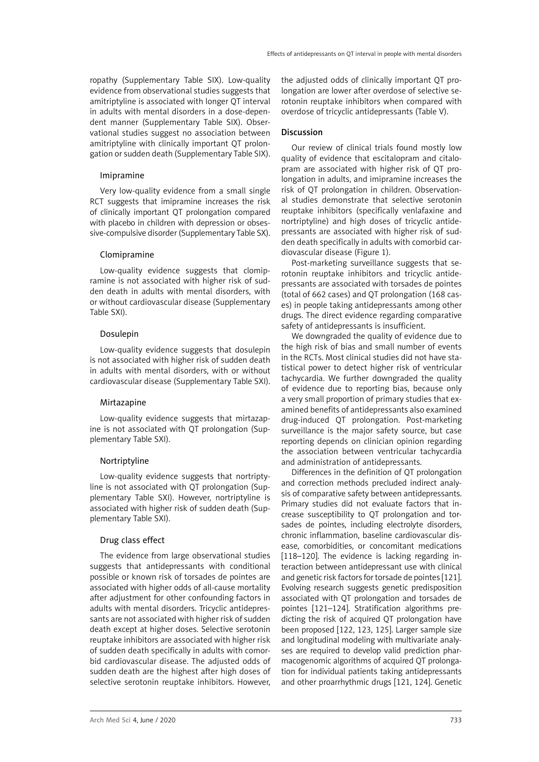ropathy (Supplementary Table SIX). Low-quality evidence from observational studies suggests that amitriptyline is associated with longer QT interval in adults with mental disorders in a dose-dependent manner (Supplementary Table SIX). Observational studies suggest no association between amitriptyline with clinically important QT prolongation or sudden death (Supplementary Table SIX).

#### Imipramine

Very low-quality evidence from a small single RCT suggests that imipramine increases the risk of clinically important QT prolongation compared with placebo in children with depression or obsessive-compulsive disorder (Supplementary Table SX).

#### Clomipramine

Low-quality evidence suggests that clomipramine is not associated with higher risk of sudden death in adults with mental disorders, with or without cardiovascular disease (Supplementary Table SXI).

#### Dosulepin

Low-quality evidence suggests that dosulepin is not associated with higher risk of sudden death in adults with mental disorders, with or without cardiovascular disease (Supplementary Table SXI).

#### Mirtazapine

Low-quality evidence suggests that mirtazapine is not associated with QT prolongation (Supplementary Table SXI).

#### Nortriptyline

Low-quality evidence suggests that nortriptyline is not associated with QT prolongation (Supplementary Table SXI). However, nortriptyline is associated with higher risk of sudden death (Supplementary Table SXI).

#### Drug class effect

The evidence from large observational studies suggests that antidepressants with conditional possible or known risk of torsades de pointes are associated with higher odds of all-cause mortality after adjustment for other confounding factors in adults with mental disorders. Tricyclic antidepressants are not associated with higher risk of sudden death except at higher doses. Selective serotonin reuptake inhibitors are associated with higher risk of sudden death specifically in adults with comorbid cardiovascular disease. The adjusted odds of sudden death are the highest after high doses of selective serotonin reuptake inhibitors. However, the adjusted odds of clinically important QT prolongation are lower after overdose of selective serotonin reuptake inhibitors when compared with overdose of tricyclic antidepressants (Table V).

#### Discussion

Our review of clinical trials found mostly low quality of evidence that escitalopram and citalopram are associated with higher risk of QT prolongation in adults, and imipramine increases the risk of QT prolongation in children. Observational studies demonstrate that selective serotonin reuptake inhibitors (specifically venlafaxine and nortriptyline) and high doses of tricyclic antidepressants are associated with higher risk of sudden death specifically in adults with comorbid cardiovascular disease (Figure 1).

Post-marketing surveillance suggests that serotonin reuptake inhibitors and tricyclic antidepressants are associated with torsades de pointes (total of 662 cases) and QT prolongation (168 cases) in people taking antidepressants among other drugs. The direct evidence regarding comparative safety of antidepressants is insufficient.

We downgraded the quality of evidence due to the high risk of bias and small number of events in the RCTs. Most clinical studies did not have statistical power to detect higher risk of ventricular tachycardia. We further downgraded the quality of evidence due to reporting bias, because only a very small proportion of primary studies that examined benefits of antidepressants also examined drug-induced QT prolongation. Post-marketing surveillance is the major safety source, but case reporting depends on clinician opinion regarding the association between ventricular tachycardia and administration of antidepressants.

Differences in the definition of QT prolongation and correction methods precluded indirect analysis of comparative safety between antidepressants. Primary studies did not evaluate factors that increase susceptibility to QT prolongation and torsades de pointes, including electrolyte disorders, chronic inflammation, baseline cardiovascular disease, comorbidities, or concomitant medications [118–120]. The evidence is lacking regarding interaction between antidepressant use with clinical and genetic risk factors for torsade de pointes [121]. Evolving research suggests genetic predisposition associated with QT prolongation and torsades de pointes [121–124]. Stratification algorithms predicting the risk of acquired QT prolongation have been proposed [122, 123, 125]. Larger sample size and longitudinal modeling with multivariate analyses are required to develop valid prediction pharmacogenomic algorithms of acquired QT prolongation for individual patients taking antidepressants and other proarrhythmic drugs [121, 124]. Genetic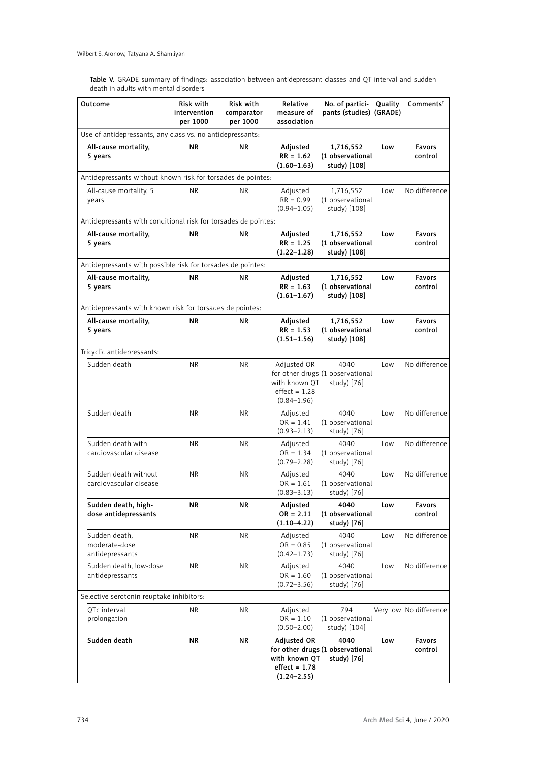Table V. GRADE summary of findings: association between antidepressant classes and QT interval and sudden death in adults with mental disorders

| Outcome                                                        | Risk with<br>intervention<br>per 1000 | Risk with<br>comparator<br>per 1000 | Relative<br>measure of<br>association                              | No. of partici- Quality<br>pants (studies) (GRADE)      |     | Comments <sup>†</sup>  |
|----------------------------------------------------------------|---------------------------------------|-------------------------------------|--------------------------------------------------------------------|---------------------------------------------------------|-----|------------------------|
| Use of antidepressants, any class vs. no antidepressants:      |                                       |                                     |                                                                    |                                                         |     |                        |
| All-cause mortality,<br>5 years                                | <b>NR</b>                             | ΝR                                  | Adjusted<br>$RR = 1.62$<br>$(1.60 - 1.63)$                         | 1,716,552<br>(1 observational<br>study) [108]           | Low | Favors<br>control      |
| Antidepressants without known risk for torsades de pointes:    |                                       |                                     |                                                                    |                                                         |     |                        |
| All-cause mortality, 5<br>years                                | <b>NR</b>                             | <b>NR</b>                           | Adjusted<br>$RR = 0.99$<br>$(0.94 - 1.05)$                         | 1,716,552<br>(1 observational<br>study) [108]           | Low | No difference          |
| Antidepressants with conditional risk for torsades de pointes: |                                       |                                     |                                                                    |                                                         |     |                        |
| All-cause mortality,<br>5 years                                | <b>NR</b>                             | ΝR                                  | Adjusted<br>$RR = 1.25$<br>$(1.22 - 1.28)$                         | 1,716,552<br>(1 observational<br>study) [108]           | Low | Favors<br>control      |
| Antidepressants with possible risk for torsades de pointes:    |                                       |                                     |                                                                    |                                                         |     |                        |
| All-cause mortality,<br>5 years                                | ΝR                                    | ΝR                                  | Adjusted<br>$RR = 1.63$<br>$(1.61 - 1.67)$                         | 1,716,552<br>(1 observational<br>study) [108]           | Low | Favors<br>control      |
| Antidepressants with known risk for torsades de pointes:       |                                       |                                     |                                                                    |                                                         |     |                        |
| All-cause mortality,<br>5 years                                | ΝR                                    | ΝR                                  | Adjusted<br>$RR = 1.53$<br>$(1.51 - 1.56)$                         | 1,716,552<br>(1 observational<br>study) [108]           | Low | Favors<br>control      |
| Tricyclic antidepressants:                                     |                                       |                                     |                                                                    |                                                         |     |                        |
| Sudden death                                                   | NR.                                   | ΝR                                  | Adjusted OR<br>with known OT<br>$effect = 1.28$<br>$(0.84 - 1.96)$ | 4040<br>for other drugs (1 observational<br>study) [76] | Low | No difference          |
| Sudden death                                                   | NR.                                   | <b>NR</b>                           | Adjusted<br>$OR = 1.41$<br>$(0.93 - 2.13)$                         | 4040<br>(1 observational<br>study) [76]                 | Low | No difference          |
| Sudden death with<br>cardiovascular disease                    | NR.                                   | <b>NR</b>                           | Adjusted<br>$OR = 1.34$<br>$(0.79 - 2.28)$                         | 4040<br>(1 observational<br>study) [76]                 | Low | No difference          |
| Sudden death without<br>cardiovascular disease                 | NR.                                   | NR.                                 | Adjusted<br>$OR = 1.61$<br>$(0.83 - 3.13)$                         | 4040<br>(1 observational<br>study) [76]                 | Low | No difference          |
| Sudden death, high-<br>dose antidepressants                    | <b>NR</b>                             | <b>NR</b>                           | Adjusted<br>$OR = 2.11$<br>$(1.10 - 4.22)$                         | 4040<br>(1 observational<br>study) [76]                 | Low | Favors<br>control      |
| Sudden death,<br>moderate-dose<br>antidepressants              | NR.                                   | <b>NR</b>                           | Adjusted<br>$OR = 0.85$<br>$(0.42 - 1.73)$                         | 4040<br>(1 observational<br>study) [76]                 | Low | No difference          |
| Sudden death, low-dose<br>antidepressants                      | NR.                                   | <b>NR</b>                           | Adjusted<br>$OR = 1.60$<br>$(0.72 - 3.56)$                         | 4040<br>(1 observational<br>study) [76]                 | Low | No difference          |
| Selective serotonin reuptake inhibitors:                       |                                       |                                     |                                                                    |                                                         |     |                        |
| QTc interval<br>prolongation                                   | NR.                                   | <b>NR</b>                           | Adjusted<br>$OR = 1.10$<br>$(0.50 - 2.00)$                         | 794<br>(1 observational<br>study) [104]                 |     | Very low No difference |
| Sudden death                                                   | ΝR                                    | ΝR                                  | Adjusted OR<br>with known QT<br>$effect = 1.78$<br>$(1.24 - 2.55)$ | 4040<br>for other drugs (1 observational<br>study) [76] | Low | Favors<br>control      |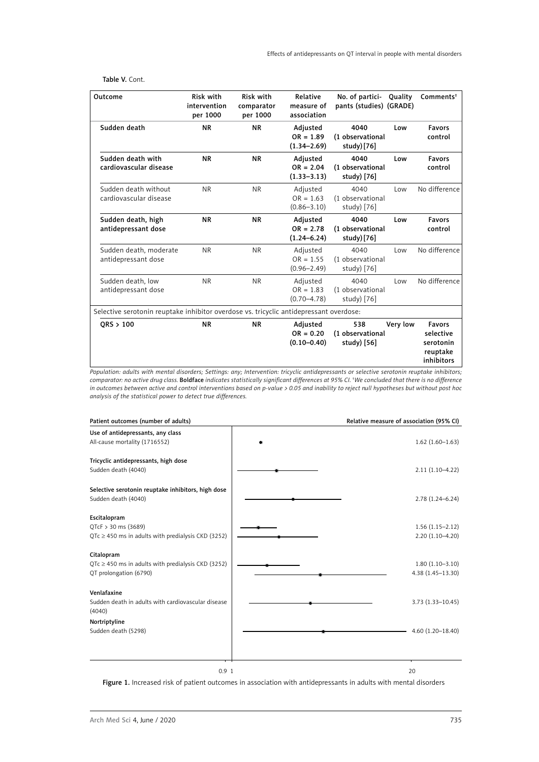#### Table V. Cont.

| Outcome                                                                                | <b>Risk with</b><br>intervention<br>per 1000 | <b>Risk with</b><br>comparator<br>per 1000 | Relative<br>measure of<br>association      | No. of partici-<br>pants (studies) (GRADE) | Quality  | Comments <sup>†</sup>                                             |
|----------------------------------------------------------------------------------------|----------------------------------------------|--------------------------------------------|--------------------------------------------|--------------------------------------------|----------|-------------------------------------------------------------------|
| Sudden death                                                                           | <b>NR</b>                                    | <b>NR</b>                                  | Adjusted<br>$OR = 1.89$<br>$(1.34 - 2.69)$ | 4040<br>(1 observational<br>study)[76]     | Low      | <b>Favors</b><br>control                                          |
| Sudden death with<br>cardiovascular disease                                            | <b>NR</b>                                    | <b>NR</b>                                  | Adjusted<br>$OR = 2.04$<br>$(1.33 - 3.13)$ | 4040<br>(1 observational<br>study) [76]    | Low      | <b>Favors</b><br>control                                          |
| Sudden death without<br>cardiovascular disease                                         | <b>NR</b>                                    | <b>NR</b>                                  | Adjusted<br>$OR = 1.63$<br>$(0.86 - 3.10)$ | 4040<br>(1 observational<br>study) [76]    | Low      | No difference                                                     |
| Sudden death, high<br>antidepressant dose                                              | <b>NR</b>                                    | <b>NR</b>                                  | Adjusted<br>$OR = 2.78$<br>$(1.24 - 6.24)$ | 4040<br>(1 observational<br>study) [76]    | Low      | <b>Favors</b><br>control                                          |
| Sudden death, moderate<br>antidepressant dose                                          | N <sub>R</sub>                               | <b>NR</b>                                  | Adjusted<br>$OR = 1.55$<br>$(0.96 - 2.49)$ | 4040<br>(1 observational<br>study) [76]    | Low      | No difference                                                     |
| Sudden death, low<br>antidepressant dose                                               | <b>NR</b>                                    | <b>NR</b>                                  | Adjusted<br>$OR = 1.83$<br>$(0.70 - 4.78)$ | 4040<br>(1 observational<br>study) [76]    | Low      | No difference                                                     |
| Selective serotonin reuptake inhibitor overdose vs. tricyclic antidepressant overdose: |                                              |                                            |                                            |                                            |          |                                                                   |
| ORS > 100                                                                              | <b>NR</b>                                    | <b>NR</b>                                  | Adjusted<br>$OR = 0.20$<br>$(0.10 - 0.40)$ | 538<br>(1 observational<br>study $[56]$    | Very low | <b>Favors</b><br>selective<br>serotonin<br>reuptake<br>inhibitors |

*Population: adults with mental disorders; Settings: any; Intervention: tricyclic antidepressants or selective serotonin reuptake inhibitors; comparator: no active drug class.* Boldface *indicates statistically significant differences at 95% CI. † We concluded that there is no difference in outcomes between active and control interventions based on p-value > 0.05 and inability to reject null hypotheses but without post hoc analysis of the statistical power to detect true differences.*

| Patient outcomes (number of adults)                                       | Relative measure of association (95% CI) |
|---------------------------------------------------------------------------|------------------------------------------|
| Use of antidepressants, any class<br>All-cause mortality (1716552)        | $1.62(1.60-1.63)$                        |
| Tricyclic antidepressants, high dose<br>Sudden death (4040)               | $2.11(1.10-4.22)$                        |
|                                                                           |                                          |
| Selective serotonin reuptake inhibitors, high dose<br>Sudden death (4040) | $2.78(1.24 - 6.24)$                      |
| Escitalopram                                                              |                                          |
| QTcF > 30 ms (3689)                                                       | $1.56(1.15-2.12)$                        |
| $QTc \ge 450$ ms in adults with predialysis CKD (3252)                    | 2.20 (1.10-4.20)                         |
| Citalopram                                                                |                                          |
| $QTc \ge 450$ ms in adults with predialysis CKD (3252)                    | $1.80(1.10-3.10)$                        |
| QT prolongation (6790)                                                    | $4.38(1.45 - 13.30)$                     |
| Venlafaxine                                                               |                                          |
| Sudden death in adults with cardiovascular disease<br>(4040)              | $3.73(1.33 - 10.45)$                     |
| Nortriptyline                                                             |                                          |
| Sudden death (5298)                                                       | $4.60(1.20 - 18.40)$                     |
|                                                                           |                                          |
| 0.91                                                                      | 20                                       |

Figure 1. Increased risk of patient outcomes in association with antidepressants in adults with mental disorders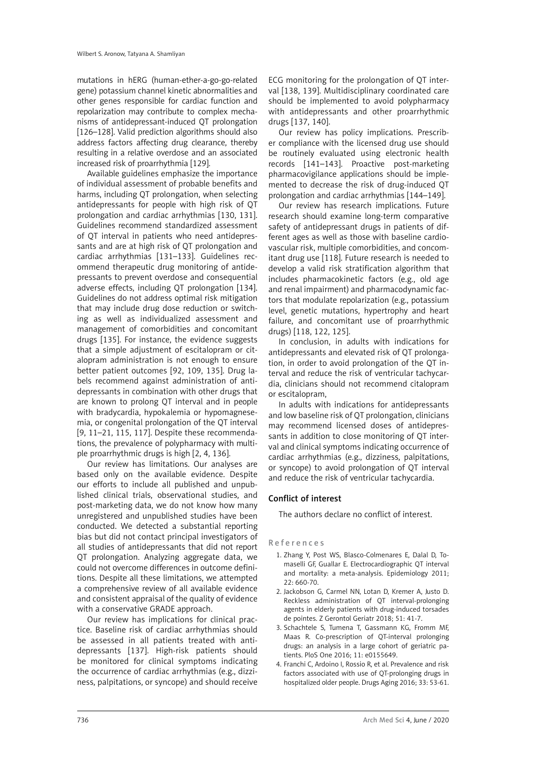mutations in hERG (human-ether-a-go-go-related gene) potassium channel kinetic abnormalities and other genes responsible for cardiac function and repolarization may contribute to complex mechanisms of antidepressant-induced QT prolongation [126–128]. Valid prediction algorithms should also address factors affecting drug clearance, thereby resulting in a relative overdose and an associated increased risk of proarrhythmia [129].

Available guidelines emphasize the importance of individual assessment of probable benefits and harms, including QT prolongation, when selecting antidepressants for people with high risk of QT prolongation and cardiac arrhythmias [130, 131]. Guidelines recommend standardized assessment of QT interval in patients who need antidepressants and are at high risk of QT prolongation and cardiac arrhythmias [131–133]. Guidelines recommend therapeutic drug monitoring of antidepressants to prevent overdose and consequential adverse effects, including QT prolongation [134]. Guidelines do not address optimal risk mitigation that may include drug dose reduction or switching as well as individualized assessment and management of comorbidities and concomitant drugs [135]. For instance, the evidence suggests that a simple adjustment of escitalopram or citalopram administration is not enough to ensure better patient outcomes [92, 109, 135]. Drug labels recommend against administration of antidepressants in combination with other drugs that are known to prolong QT interval and in people with bradycardia, hypokalemia or hypomagnesemia, or congenital prolongation of the QT interval [9, 11–21, 115, 117]. Despite these recommendations, the prevalence of polypharmacy with multiple proarrhythmic drugs is high [2, 4, 136].

Our review has limitations. Our analyses are based only on the available evidence. Despite our efforts to include all published and unpublished clinical trials, observational studies, and post-marketing data, we do not know how many unregistered and unpublished studies have been conducted. We detected a substantial reporting bias but did not contact principal investigators of all studies of antidepressants that did not report QT prolongation. Analyzing aggregate data, we could not overcome differences in outcome definitions. Despite all these limitations, we attempted a comprehensive review of all available evidence and consistent appraisal of the quality of evidence with a conservative GRADE approach.

Our review has implications for clinical practice. Baseline risk of cardiac arrhythmias should be assessed in all patients treated with antidepressants [137]. High-risk patients should be monitored for clinical symptoms indicating the occurrence of cardiac arrhythmias (e.g., dizziness, palpitations, or syncope) and should receive

ECG monitoring for the prolongation of QT interval [138, 139]. Multidisciplinary coordinated care should be implemented to avoid polypharmacy with antidepressants and other proarrhythmic drugs [137, 140].

Our review has policy implications. Prescriber compliance with the licensed drug use should be routinely evaluated using electronic health records [141–143]. Proactive post-marketing pharmacovigilance applications should be implemented to decrease the risk of drug-induced QT prolongation and cardiac arrhythmias [144–149].

Our review has research implications. Future research should examine long-term comparative safety of antidepressant drugs in patients of different ages as well as those with baseline cardiovascular risk, multiple comorbidities, and concomitant drug use [118]. Future research is needed to develop a valid risk stratification algorithm that includes pharmacokinetic factors (e.g., old age and renal impairment) and pharmacodynamic factors that modulate repolarization (e.g., potassium level, genetic mutations, hypertrophy and heart failure, and concomitant use of proarrhythmic drugs) [118, 122, 125].

In conclusion, in adults with indications for antidepressants and elevated risk of QT prolongation, in order to avoid prolongation of the QT interval and reduce the risk of ventricular tachycardia, clinicians should not recommend citalopram or escitalopram,

In adults with indications for antidepressants and low baseline risk of QT prolongation, clinicians may recommend licensed doses of antidepressants in addition to close monitoring of QT interval and clinical symptoms indicating occurrence of cardiac arrhythmias (e.g., dizziness, palpitations, or syncope) to avoid prolongation of QT interval and reduce the risk of ventricular tachycardia.

# Conflict of interest

The authors declare no conflict of interest.

#### References

- 1. Zhang Y, Post WS, Blasco-Colmenares E, Dalal D, Tomaselli GF, Guallar E. Electrocardiographic QT interval and mortality: a meta-analysis. Epidemiology 2011; 22: 660-70.
- 2. Jackobson G, Carmel NN, Lotan D, Kremer A, Justo D. Reckless administration of QT interval-prolonging agents in elderly patients with drug-induced torsades de pointes. Z Gerontol Geriatr 2018; 51: 41-7.
- 3. Schachtele S, Tumena T, Gassmann KG, Fromm MF, Maas R. Co-prescription of QT-interval prolonging drugs: an analysis in a large cohort of geriatric patients. PloS One 2016; 11: e0155649.
- 4. Franchi C, Ardoino I, Rossio R, et al. Prevalence and risk factors associated with use of QT-prolonging drugs in hospitalized older people. Drugs Aging 2016; 33: 53-61.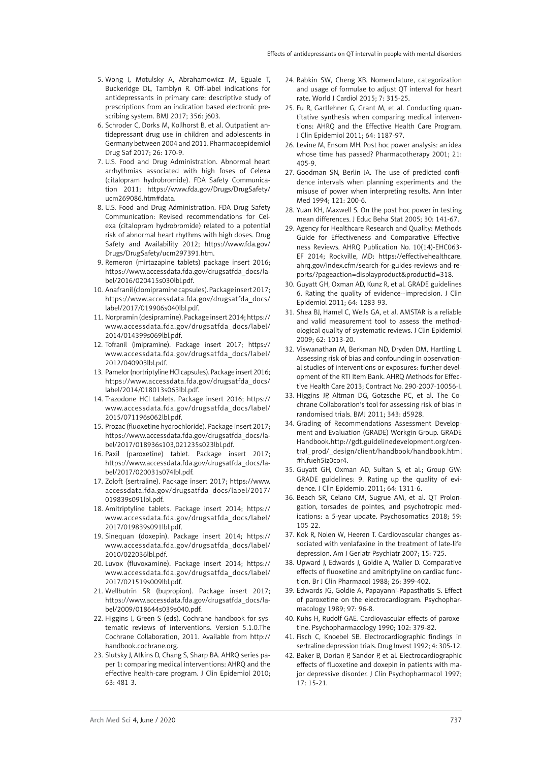- 5. Wong J, Motulsky A, Abrahamowicz M, Eguale T, Buckeridge DL, Tamblyn R. Off-label indications for antidepressants in primary care: descriptive study of prescriptions from an indication based electronic prescribing system. BMJ 2017; 356: j603.
- 6. Schroder C, Dorks M, Kollhorst B, et al. Outpatient antidepressant drug use in children and adolescents in Germany between 2004 and 2011. Pharmacoepidemiol Drug Saf 2017; 26: 170-9.
- 7. U.S. Food and Drug Administration. Abnormal heart arrhythmias associated with high foses of Celexa (citalopram hydrobromide). FDA Safety Communication 2011; [https://www.fda.gov/Drugs/DrugSafety/](https://www.fda.gov/Drugs/DrugSafety/ucm269086.htm#data) [ucm269086.htm#data](https://www.fda.gov/Drugs/DrugSafety/ucm269086.htm#data).
- 8. U.S. Food and Drug Administration. FDA Drug Safety Communication: Revised recommendations for Celexa (citalopram hydrobromide) related to a potential risk of abnormal heart rhythms with high doses. Drug Safety and Availability 2012; [https://www.fda.gov/](https://www.fda.gov/Drugs/DrugSafety/ucm297391.htm) [Drugs/DrugSafety/ucm297391.htm](https://www.fda.gov/Drugs/DrugSafety/ucm297391.htm).
- 9. Remeron (mirtazapine tablets) package insert 2016; [https://www.accessdata.fda.gov/drugsatfda\\_docs/la](https://www.accessdata.fda.gov/drugsatfda_docs/label/2016/020415s030lbl.pdf)[bel/2016/020415s030lbl.pdf.](https://www.accessdata.fda.gov/drugsatfda_docs/label/2016/020415s030lbl.pdf)
- 10. Anafranil (clomipramine capsules). Package insert 2017; [https://www.accessdata.fda.gov/drugsatfda\\_docs/](https://www.accessdata.fda.gov/drugsatfda_docs/label/2017/019906s040lbl.pdf) [label/2017/019906s040lbl.pdf.](https://www.accessdata.fda.gov/drugsatfda_docs/label/2017/019906s040lbl.pdf)
- 11. Norpramin (desipramine). Package insert 2014; [https://](https://www.accessdata.fda.gov/drugsatfda_docs/label/2014/014399s069lbl.pdf) [www.accessdata.fda.gov/drugsatfda\\_docs/label/](https://www.accessdata.fda.gov/drugsatfda_docs/label/2014/014399s069lbl.pdf) [2014/014399s069lbl.pdf.](https://www.accessdata.fda.gov/drugsatfda_docs/label/2014/014399s069lbl.pdf)
- 12. Tofranil (imipramine). Package insert 2017; [https://](https://www.accessdata.fda.gov/drugsatfda_docs/label/2012/040903lbl.pdf) [www.accessdata.fda.gov/drugsatfda\\_docs/label/](https://www.accessdata.fda.gov/drugsatfda_docs/label/2012/040903lbl.pdf) [2012/040903lbl.pdf](https://www.accessdata.fda.gov/drugsatfda_docs/label/2012/040903lbl.pdf).
- 13. Pamelor (nortriptyline HCl capsules). Package insert 2016; [https://www.accessdata.fda.gov/drugsatfda\\_docs/](https://www.accessdata.fda.gov/drugsatfda_docs/label/2014/018013s063lbl.pdf) [label/2014/018013s063lbl.pdf.](https://www.accessdata.fda.gov/drugsatfda_docs/label/2014/018013s063lbl.pdf)
- 14. Trazodone HCl tablets. Package insert 2016; [https://](https://www.accessdata.fda.gov/drugsatfda_docs/label/2015/071196s062lbl.pdf) [www.accessdata.fda.gov/drugsatfda\\_docs/label/](https://www.accessdata.fda.gov/drugsatfda_docs/label/2015/071196s062lbl.pdf) [2015/071196s062lbl.pdf.](https://www.accessdata.fda.gov/drugsatfda_docs/label/2015/071196s062lbl.pdf)
- 15. Prozac (fluoxetine hydrochloride). Package insert 2017; [https://www.accessdata.fda.gov/drugsatfda\\_docs/la](https://www.accessdata.fda.gov/drugsatfda_docs/label/2017/018936s103,021235s023lbl.pdf)[bel/2017/018936s103,021235s023lbl.pdf.](https://www.accessdata.fda.gov/drugsatfda_docs/label/2017/018936s103,021235s023lbl.pdf)
- 16. Paxil (paroxetine) tablet. Package insert 2017; [https://www.accessdata.fda.gov/drugsatfda\\_docs/la](https://www.accessdata.fda.gov/drugsatfda_docs/label/2017/020031s074lbl.pdf)[bel/2017/020031s074lbl.pdf](https://www.accessdata.fda.gov/drugsatfda_docs/label/2017/020031s074lbl.pdf).
- 17. Zoloft (sertraline). Package insert 2017; [https://www.](https://www.accessdata.fda.gov/drugsatfda_docs/label/2017/019839s091lbl.pdf) [accessdata.fda.gov/drugsatfda\\_docs/label/2017/](https://www.accessdata.fda.gov/drugsatfda_docs/label/2017/019839s091lbl.pdf) [019839s091lbl.pdf](https://www.accessdata.fda.gov/drugsatfda_docs/label/2017/019839s091lbl.pdf).
- 18. Amitriptyline tablets. Package insert 2014; [https://](https://www.accessdata.fda.gov/drugsatfda_docs/label/2017/019839s091lbl.pdf) [www.accessdata.fda.gov/drugsatfda\\_docs/label/](https://www.accessdata.fda.gov/drugsatfda_docs/label/2017/019839s091lbl.pdf) [2017/019839s091lbl.pdf.](https://www.accessdata.fda.gov/drugsatfda_docs/label/2017/019839s091lbl.pdf)
- 19. Sinequan (doxepin). Package insert 2014; [https://](https://www.accessdata.fda.gov/drugsatfda_docs/label/2010/022036lbl.pdf) [www.accessdata.fda.gov/drugsatfda\\_docs/label/](https://www.accessdata.fda.gov/drugsatfda_docs/label/2010/022036lbl.pdf) [2010/022036lbl.pdf](https://www.accessdata.fda.gov/drugsatfda_docs/label/2010/022036lbl.pdf).
- 20. Luvox (fluvoxamine). Package insert 2014; [https://](https://www.accessdata.fda.gov/drugsatfda_docs/label/2017/021519s009lbl.pdf) [www.accessdata.fda.gov/drugsatfda\\_docs/label/](https://www.accessdata.fda.gov/drugsatfda_docs/label/2017/021519s009lbl.pdf) [2017/021519s009lbl.pdf.](https://www.accessdata.fda.gov/drugsatfda_docs/label/2017/021519s009lbl.pdf)
- 21. Wellbutrin SR (bupropion). Package insert 2017; [https://www.accessdata.fda.gov/drugsatfda\\_docs/la](https://www.accessdata.fda.gov/drugsatfda_docs/label/2009/018644s039s040.pdf)[bel/2009/018644s039s040.pdf](https://www.accessdata.fda.gov/drugsatfda_docs/label/2009/018644s039s040.pdf).
- 22. Higgins J, Green S (eds). Cochrane handbook for systematic reviews of interventions. Version 5.1.0.The Cochrane Collaboration, 2011. Available from http:// handbook.cochrane.org.
- 23. Slutsky J, Atkins D, Chang S, Sharp BA. AHRQ series paper 1: comparing medical interventions: AHRQ and the effective health-care program. J Clin Epidemiol 2010; 63: 481-3.
- 24. Rabkin SW, Cheng XB. Nomenclature, categorization and usage of formulae to adjust QT interval for heart rate. World J Cardiol 2015; 7: 315-25.
- 25. Fu R, Gartlehner G, Grant M, et al. Conducting quantitative synthesis when comparing medical interventions: AHRQ and the Effective Health Care Program. J Clin Epidemiol 2011; 64: 1187-97.
- 26. Levine M, Ensom MH. Post hoc power analysis: an idea whose time has passed? Pharmacotherapy 2001; 21: 405-9.
- 27. Goodman SN, Berlin JA. The use of predicted confidence intervals when planning experiments and the misuse of power when interpreting results. Ann Inter Med 1994; 121: 200-6.
- 28. Yuan KH, Maxwell S. On the post hoc power in testing mean differences. J Educ Beha Stat 2005; 30: 141-67.
- 29. Agency for Healthcare Research and Quality: Methods Guide for Effectiveness and Comparative Effectiveness Reviews. AHRQ Publication No. 10(14)-EHC063- EF 2014; Rockville, MD: [https://effectivehealthcare.](https://effectivehealthcare.ahrq.gov/index.cfm/search-for-guides-reviews-and-reports/?pageaction=displayproduct&productid=318) [ahrq.gov/index.cfm/search-for-guides-reviews-and-re](https://effectivehealthcare.ahrq.gov/index.cfm/search-for-guides-reviews-and-reports/?pageaction=displayproduct&productid=318)[ports/?pageaction=displayproduct&productid=318](https://effectivehealthcare.ahrq.gov/index.cfm/search-for-guides-reviews-and-reports/?pageaction=displayproduct&productid=318).
- 30. Guyatt GH, Oxman AD, Kunz R, et al. GRADE guidelines 6. Rating the quality of evidence--imprecision. J Clin Epidemiol 2011; 64: 1283-93.
- 31. Shea BJ, Hamel C, Wells GA, et al. AMSTAR is a reliable and valid measurement tool to assess the methodological quality of systematic reviews. J Clin Epidemiol 2009; 62: 1013-20.
- 32. Viswanathan M, Berkman ND, Dryden DM, Hartling L. Assessing risk of bias and confounding in observational studies of interventions or exposures: further development of the RTI Item Bank. AHRQ Methods for Effective Health Care 2013; Contract No. 290-2007-10056-I.
- 33. Higgins JP, Altman DG, Gotzsche PC, et al. The Cochrane Collaboration's tool for assessing risk of bias in randomised trials. BMJ 2011; 343: d5928.
- 34. Grading of Recommendations Assessment Development and Evaluation (GRADE) Workgin Group. GRADE Handbook[.http://gdt.guidelinedevelopment.org/cen](http://gdt.guidelinedevelopment.org/central_prod/_design/client/handbook/handbook.html#h.fueh5iz0cor4)[tral\\_prod/\\_design/client/handbook/handbook.html](http://gdt.guidelinedevelopment.org/central_prod/_design/client/handbook/handbook.html#h.fueh5iz0cor4) [#h.fueh5iz0cor4](http://gdt.guidelinedevelopment.org/central_prod/_design/client/handbook/handbook.html#h.fueh5iz0cor4).
- 35. Guyatt GH, Oxman AD, Sultan S, et al.; Group GW: GRADE guidelines: 9. Rating up the quality of evidence. J Clin Epidemiol 2011; 64: 1311-6.
- 36. Beach SR, Celano CM, Sugrue AM, et al. QT Prolongation, torsades de pointes, and psychotropic medications: a 5-year update. Psychosomatics 2018; 59: 105-22.
- 37. Kok R, Nolen W, Heeren T. Cardiovascular changes associated with venlafaxine in the treatment of late-life depression. Am J Geriatr Psychiatr 2007; 15: 725.
- 38. Upward J, Edwards J, Goldie A, Waller D. Comparative effects of fluoxetine and amitriptyline on cardiac function. Br J Clin Pharmacol 1988; 26: 399-402.
- 39. Edwards JG, Goldie A, Papayanni-Papasthatis S. Effect of paroxetine on the electrocardiogram. Psychopharmacology 1989; 97: 96-8.
- 40. Kuhs H, Rudolf GAE. Cardiovascular effects of paroxetine. Psychopharmacology 1990; 102: 379-82.
- 41. Fisch C, Knoebel SB. Electrocardiographic findings in sertraline depression trials. Drug Invest 1992; 4: 305-12.
- 42. Baker B, Dorian P, Sandor P, et al. Electrocardiographic effects of fluoxetine and doxepin in patients with major depressive disorder. J Clin Psychopharmacol 1997; 17: 15-21.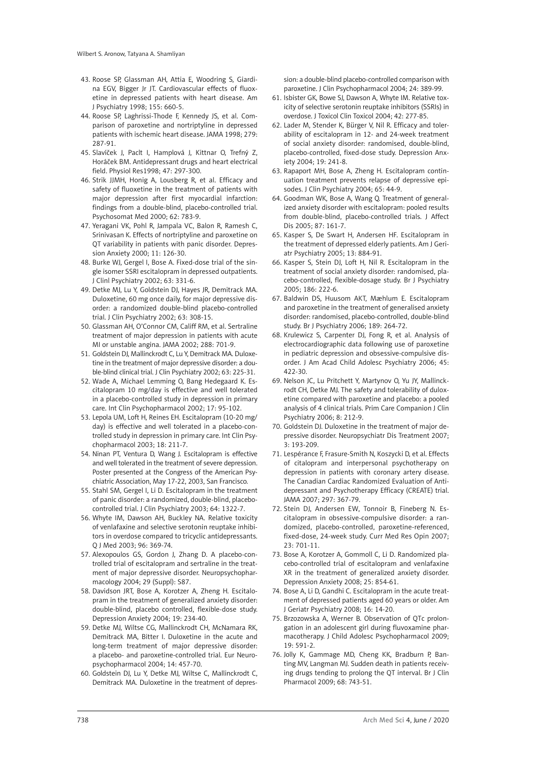- 43. Roose SP, Glassman AH, Attia E, Woodring S, Giardina EGV, Bigger Jr JT. Cardiovascular effects of fluoxetine in depressed patients with heart disease. Am J Psychiatry 1998; 155: 660-5.
- 44. Roose SP, Laghrissi-Thode F, Kennedy JS, et al. Comparison of paroxetine and nortriptyline in depressed patients with ischemic heart disease. JAMA 1998; 279: 287-91.
- 45. Slavíček J, Paclt I, Hamplová J, Kittnar O, Trefný Z, Horáček BM. Antidepressant drugs and heart electrical field. Physiol Res1998; 47: 297-300.
- 46. Strik JJMH, Honig A, Lousberg R, et al. Efficacy and safety of fluoxetine in the treatment of patients with major depression after first myocardial infarction: findings from a double-blind, placebo-controlled trial. Psychosomat Med 2000; 62: 783-9.
- 47. Yeragani VK, Pohl R, Jampala VC, Balon R, Ramesh C, Srinivasan K. Effects of nortriptyline and paroxetine on QT variability in patients with panic disorder. Depression Anxiety 2000; 11: 126-30.
- 48. Burke WJ, Gergel I, Bose A. Fixed-dose trial of the single isomer SSRI escitalopram in depressed outpatients. J Clinl Psychiatry 2002; 63: 331-6.
- 49. Detke MJ, Lu Y, Goldstein DJ, Hayes JR, Demitrack MA. Duloxetine, 60 mg once daily, for major depressive disorder: a randomized double-blind placebo-controlled trial. J Clin Psychiatry 2002; 63: 308-15.
- 50. Glassman AH, O'Connor CM, Califf RM, et al. Sertraline treatment of major depression in patients with acute MI or unstable angina. JAMA 2002; 288: 701-9.
- 51. Goldstein DJ, Mallinckrodt C, Lu Y, Demitrack MA. Duloxetine in the treatment of major depressive disorder: a double-blind clinical trial. J Clin Psychiatry 2002; 63: 225-31.
- 52. Wade A, Michael Lemming O, Bang Hedegaard K. Escitalopram 10 mg/day is effective and well tolerated in a placebo-controlled study in depression in primary care. Int Clin Psychopharmacol 2002; 17: 95-102.
- 53. Lepola UM, Loft H, Reines EH. Escitalopram (10-20 mg/ day) is effective and well tolerated in a placebo-controlled study in depression in primary care. Int Clin Psychopharmacol 2003; 18: 211-7.
- 54. Ninan PT, Ventura D, Wang J. Escitalopram is effective and well tolerated in the treatment of severe depression. Poster presented at the Congress of the American Psychiatric Association, May 17-22, 2003, San Francisco.
- 55. Stahl SM, Gergel I, Li D. Escitalopram in the treatment of panic disorder: a randomized, double-blind, placebocontrolled trial. J Clin Psychiatry 2003; 64: 1322-7.
- 56. Whyte IM, Dawson AH, Buckley NA. Relative toxicity of venlafaxine and selective serotonin reuptake inhibitors in overdose compared to tricyclic antidepressants. Q J Med 2003; 96: 369-74.
- 57. Alexopoulos GS, Gordon J, Zhang D. A placebo-controlled trial of escitalopram and sertraline in the treatment of major depressive disorder. Neuropsychopharmacology 2004; 29 (Suppl): S87.
- 58. Davidson JRT, Bose A, Korotzer A, Zheng H. Escitalopram in the treatment of generalized anxiety disorder: double-blind, placebo controlled, flexible-dose study. Depression Anxiety 2004; 19: 234-40.
- 59. Detke MJ, Wiltse CG, Mallinckrodt CH, McNamara RK, Demitrack MA, Bitter I. Duloxetine in the acute and long-term treatment of major depressive disorder: a placebo- and paroxetine-controlled trial. Eur Neuropsychopharmacol 2004; 14: 457-70.
- 60. Goldstein DJ, Lu Y, Detke MJ, Wiltse C, Mallinckrodt C, Demitrack MA. Duloxetine in the treatment of depres-

sion: a double-blind placebo-controlled comparison with paroxetine. J Clin Psychopharmacol 2004; 24: 389-99.

- 61. Isbister GK, Bowe SJ, Dawson A, Whyte IM. Relative toxicity of selective serotonin reuptake inhibitors (SSRIs) in overdose. J Toxicol Clin Toxicol 2004; 42: 277-85.
- 62. Lader M, Stender K, Bürger V, Nil R. Efficacy and tolerability of escitalopram in 12- and 24-week treatment of social anxiety disorder: randomised, double-blind, placebo-controlled, fixed-dose study. Depression Anxiety 2004; 19: 241-8.
- 63. Rapaport MH, Bose A, Zheng H. Escitalopram continuation treatment prevents relapse of depressive episodes. J Clin Psychiatry 2004; 65: 44-9.
- 64. Goodman WK, Bose A, Wang Q. Treatment of generalized anxiety disorder with escitalopram: pooled results from double-blind, placebo-controlled trials. J Affect Dis 2005; 87: 161-7.
- 65. Kasper S, De Swart H, Andersen HF. Escitalopram in the treatment of depressed elderly patients. Am J Geriatr Psychiatry 2005; 13: 884-91.
- 66. Kasper S, Stein DJ, Loft H, Nil R. Escitalopram in the treatment of social anxiety disorder: randomised, placebo-controlled, flexible-dosage study. Br J Psychiatry 2005; 186: 222-6.
- 67. Baldwin DS, Huusom AKT, Mæhlum E. Escitalopram and paroxetine in the treatment of generalised anxiety disorder: randomised, placebo-controlled, double-blind study. Br J Psychiatry 2006; 189: 264-72.
- 68. Krulewicz S, Carpenter DJ, Fong R, et al. Analysis of electrocardiographic data following use of paroxetine in pediatric depression and obsessive-compulsive disorder. J Am Acad Child Adolesc Psychiatry 2006; 45: 422-30.
- 69. Nelson JC, Lu Pritchett Y, Martynov O, Yu JY, Mallinckrodt CH, Detke MJ. The safety and tolerability of duloxetine compared with paroxetine and placebo: a pooled analysis of 4 clinical trials. Prim Care Companion J Clin Psychiatry 2006; 8: 212-9.
- 70. Goldstein DJ. Duloxetine in the treatment of major depressive disorder. Neuropsychiatr Dis Treatment 2007; 3: 193-209.
- 71. Lespérance F, Frasure-Smith N, Koszycki D, et al. Effects of citalopram and interpersonal psychotherapy on depression in patients with coronary artery disease. The Canadian Cardiac Randomized Evaluation of Antidepressant and Psychotherapy Efficacy (CREATE) trial. JAMA 2007; 297: 367-79.
- 72. Stein DJ, Andersen EW, Tonnoir B, Fineberg N. Escitalopram in obsessive-compulsive disorder: a randomized, placebo-controlled, paroxetine-referenced, fixed-dose, 24-week study. Curr Med Res Opin 2007; 23: 701-11.
- 73. Bose A, Korotzer A, Gommoll C, Li D. Randomized placebo-controlled trial of escitalopram and venlafaxine XR in the treatment of generalized anxiety disorder. Depression Anxiety 2008; 25: 854-61.
- 74. Bose A, Li D, Gandhi C. Escitalopram in the acute treatment of depressed patients aged 60 years or older. Am J Geriatr Psychiatry 2008; 16: 14-20.
- 75. Brzozowska A, Werner B. Observation of QTc prolongation in an adolescent girl during fluvoxamine pharmacotherapy. J Child Adolesc Psychopharmacol 2009; 19: 591-2.
- 76. Jolly K, Gammage MD, Cheng KK, Bradburn P, Banting MV, Langman MJ. Sudden death in patients receiving drugs tending to prolong the QT interval. Br J Clin Pharmacol 2009; 68: 743-51.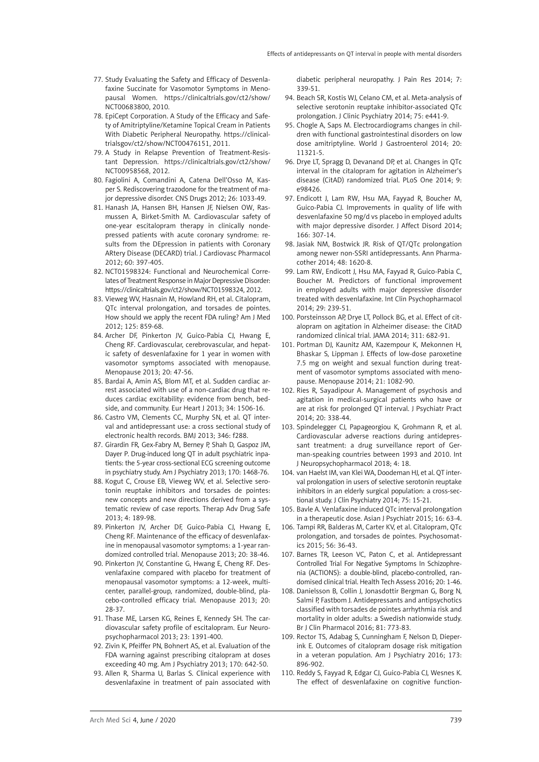- 77. Study Evaluating the Safety and Efficacy of Desvenlafaxine Succinate for Vasomotor Symptoms in Menopausal Women. https://clinicaltrials.gov/ct2/show/ NCT00683800, 2010.
- 78. EpiCept Corporation. A Study of the Efficacy and Safety of Amitriptyline/Ketamine Topical Cream in Patients With Diabetic Peripheral Neuropathy. [https://clinical](https://clinicaltrialsgov/ct2/show/NCT00476151)[trialsgov/ct2/show/NCT00476151](https://clinicaltrialsgov/ct2/show/NCT00476151), 2011.
- 79. A Study in Relapse Prevention of Treatment-Resistant Depression. https://clinicaltrials.gov/ct2/show/ NCT00958568, 2012.
- 80. Fagiolini A, Comandini A, Catena Dell'Osso M, Kasper S. Rediscovering trazodone for the treatment of major depressive disorder. CNS Drugs 2012; 26: 1033-49.
- 81. Hanash JA, Hansen BH, Hansen JF, Nielsen OW, Rasmussen A, Birket-Smith M. Cardiovascular safety of one-year escitalopram therapy in clinically nondepressed patients with acute coronary syndrome: results from the DEpression in patients with Coronary ARtery Disease (DECARD) trial. J Cardiovasc Pharmacol 2012; 60: 397-405.
- 82. NCT01598324: Functional and Neurochemical Correlates of Treatment Response in Major Depressive Disorder: https://clinicaltrials.gov/ct2/show/NCT01598324, 2012.
- 83. Vieweg WV, Hasnain M, Howland RH, et al. Citalopram, QTc interval prolongation, and torsades de pointes. How should we apply the recent FDA ruling? Am J Med 2012; 125: 859-68.
- 84. Archer DF, Pinkerton JV, Guico-Pabia CJ, Hwang E, Cheng RF. Cardiovascular, cerebrovascular, and hepatic safety of desvenlafaxine for 1 year in women with vasomotor symptoms associated with menopause. Menopause 2013; 20: 47-56.
- 85. Bardai A, Amin AS, Blom MT, et al. Sudden cardiac arrest associated with use of a non-cardiac drug that reduces cardiac excitability: evidence from bench, bedside, and community. Eur Heart J 2013; 34: 1506-16.
- 86. Castro VM, Clements CC, Murphy SN, et al. QT interval and antidepressant use: a cross sectional study of electronic health records. BMJ 2013; 346: f288.
- 87. Girardin FR, Gex-Fabry M, Berney P, Shah D, Gaspoz JM, Dayer P. Drug-induced long QT in adult psychiatric inpatients: the 5-year cross-sectional ECG screening outcome in psychiatry study. Am J Psychiatry 2013; 170: 1468-76.
- 88. Kogut C, Crouse EB, Vieweg WV, et al. Selective serotonin reuptake inhibitors and torsades de pointes: new concepts and new directions derived from a systematic review of case reports. Therap Adv Drug Safe 2013; 4: 189-98.
- 89. Pinkerton JV, Archer DF, Guico-Pabia CJ, Hwang E, Cheng RF. Maintenance of the efficacy of desvenlafaxine in menopausal vasomotor symptoms: a 1-year randomized controlled trial. Menopause 2013; 20: 38-46.
- 90. Pinkerton JV, Constantine G, Hwang E, Cheng RF. Desvenlafaxine compared with placebo for treatment of menopausal vasomotor symptoms: a 12-week, multicenter, parallel-group, randomized, double-blind, placebo-controlled efficacy trial. Menopause 2013; 20: 28-37.
- 91. Thase ME, Larsen KG, Reines E, Kennedy SH. The cardiovascular safety profile of escitalopram. Eur Neuropsychopharmacol 2013; 23: 1391-400.
- 92. Zivin K, Pfeiffer PN, Bohnert AS, et al. Evaluation of the FDA warning against prescribing citalopram at doses exceeding 40 mg. Am J Psychiatry 2013; 170: 642-50.
- 93. Allen R, Sharma U, Barlas S. Clinical experience with desvenlafaxine in treatment of pain associated with

diabetic peripheral neuropathy. J Pain Res 2014; 7: 339-51.

- 94. Beach SR, Kostis WJ, Celano CM, et al. Meta-analysis of selective serotonin reuptake inhibitor-associated QTc prolongation. J Clinic Psychiatry 2014; 75: e441-9.
- 95. Chogle A, Saps M. Electrocardiograms changes in children with functional gastrointestinal disorders on low dose amitriptyline. World J Gastroenterol 2014; 20: 11321-5.
- 96. Drye LT, Spragg D, Devanand DP, et al. Changes in QTc interval in the citalopram for agitation in Alzheimer's disease (CitAD) randomized trial. PLoS One 2014; 9: e98426.
- 97. Endicott J, Lam RW, Hsu MA, Fayyad R, Boucher M, Guico-Pabia CJ. Improvements in quality of life with desvenlafaxine 50 mg/d vs placebo in employed adults with major depressive disorder. J Affect Disord 2014; 166: 307-14.
- 98. Jasiak NM, Bostwick JR. Risk of QT/QTc prolongation among newer non-SSRI antidepressants. Ann Pharmacother 2014; 48: 1620-8.
- 99. Lam RW, Endicott J, Hsu MA, Fayyad R, Guico-Pabia C, Boucher M. Predictors of functional improvement in employed adults with major depressive disorder treated with desvenlafaxine. Int Clin Psychopharmacol 2014; 29: 239-51.
- 100. Porsteinsson AP, Drye LT, Pollock BG, et al. Effect of citalopram on agitation in Alzheimer disease: the CitAD randomized clinical trial. JAMA 2014; 311: 682-91.
- 101. Portman DJ, Kaunitz AM, Kazempour K, Mekonnen H, Bhaskar S, Lippman J. Effects of low-dose paroxetine 7.5 mg on weight and sexual function during treatment of vasomotor symptoms associated with menopause. Menopause 2014; 21: 1082-90.
- 102. Ries R, Sayadipour A. Management of psychosis and agitation in medical-surgical patients who have or are at risk for prolonged QT interval. J Psychiatr Pract 2014; 20: 338-44.
- 103. Spindelegger CJ, Papageorgiou K, Grohmann R, et al. Cardiovascular adverse reactions during antidepressant treatment: a drug surveillance report of German-speaking countries between 1993 and 2010. Int J Neuropsychopharmacol 2018; 4: 18.
- 104. van Haelst IM, van Klei WA, Doodeman HJ, et al. QT interval prolongation in users of selective serotonin reuptake inhibitors in an elderly surgical population: a cross-sectional study. J Clin Psychiatry 2014; 75: 15-21.
- 105. Bavle A. Venlafaxine induced QTc interval prolongation in a therapeutic dose. Asian J Psychiatr 2015; 16: 63-4.
- 106. Tampi RR, Balderas M, Carter KV, et al. Citalopram, QTc prolongation, and torsades de pointes. Psychosomatics 2015; 56: 36-43.
- 107. Barnes TR, Leeson VC, Paton C, et al. Antidepressant Controlled Trial For Negative Symptoms In Schizophrenia (ACTIONS): a double-blind, placebo-controlled, randomised clinical trial. Health Tech Assess 2016; 20: 1-46.
- 108. Danielsson B, Collin J, Jonasdottir Bergman G, Borg N, Salmi P, Fastbom J. Antidepressants and antipsychotics classified with torsades de pointes arrhythmia risk and mortality in older adults: a Swedish nationwide study. Br J Clin Pharmacol 2016; 81: 773-83.
- 109. Rector TS, Adabag S, Cunningham F, Nelson D, Dieperink E. Outcomes of citalopram dosage risk mitigation in a veteran population. Am J Psychiatry 2016; 173: 896-902.
- 110. Reddy S, Fayyad R, Edgar CJ, Guico-Pabia CJ, Wesnes K. The effect of desvenlafaxine on cognitive function-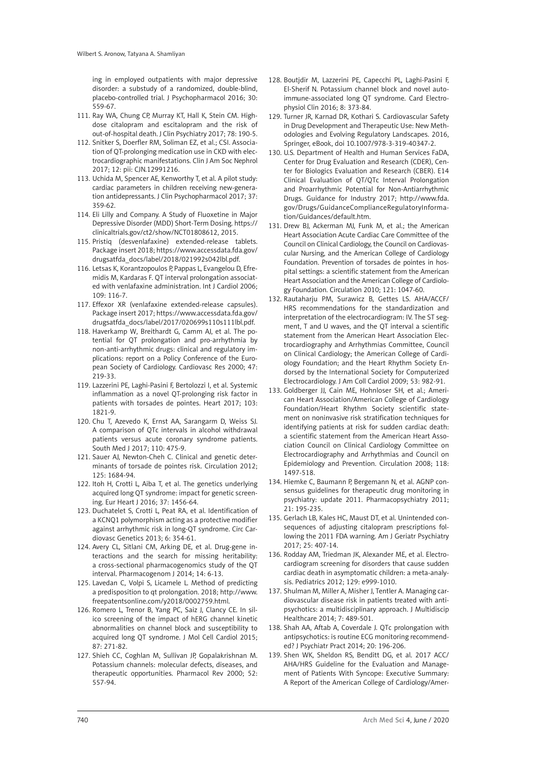ing in employed outpatients with major depressive disorder: a substudy of a randomized, double-blind, placebo-controlled trial. J Psychopharmacol 2016; 30: 559-67.

- 111. Ray WA, Chung CP, Murray KT, Hall K, Stein CM. Highdose citalopram and escitalopram and the risk of out-of-hospital death. J Clin Psychiatry 2017; 78: 190-5.
- 112. Snitker S, Doerfler RM, Soliman EZ, et al.; CSI. Association of QT-prolonging medication use in CKD with electrocardiographic manifestations. Clin J Am Soc Nephrol 2017; 12: pii: CJN.12991216.
- 113. Uchida M, Spencer AE, Kenworthy T, et al. A pilot study: cardiac parameters in children receiving new-generation antidepressants. J Clin Psychopharmacol 2017; 37: 359-62.
- 114. Eli Lilly and Company. A Study of Fluoxetine in Major Depressive Disorder (MDD) Short-Term Dosing. https:// clinicaltrials.gov/ct2/show/NCT01808612, 2015.
- 115. Pristiq (desvenlafaxine) extended-release tablets. Package insert 2018; [https://www.accessdata.fda.gov/](https://www.accessdata.fda.gov/drugsatfda_docs/label/2018/021992s042lbl.pdf) [drugsatfda\\_docs/label/2018/021992s042lbl.pdf.](https://www.accessdata.fda.gov/drugsatfda_docs/label/2018/021992s042lbl.pdf)
- 116. Letsas K, Korantzopoulos P, Pappas L, Evangelou D, Efremidis M, Kardaras F. QT interval prolongation associated with venlafaxine administration. Int J Cardiol 2006; 109: 116-7.
- 117. Effexor XR (venlafaxine extended-release capsules). Package insert 2017; [https://www.accessdata.fda.gov/](https://www.accessdata.fda.gov/drugsatfda_docs/label/2017/020699s110s111lbl.pdf) [drugsatfda\\_docs/label/2017/020699s110s111lbl.pdf](https://www.accessdata.fda.gov/drugsatfda_docs/label/2017/020699s110s111lbl.pdf).
- 118. Haverkamp W, Breithardt G, Camm AJ, et al. The potential for QT prolongation and pro-arrhythmia by non-anti-arrhythmic drugs: clinical and regulatory implications: report on a Policy Conference of the European Society of Cardiology. Cardiovasc Res 2000; 47: 219-33.
- 119. Lazzerini PE, Laghi-Pasini F, Bertolozzi I, et al. Systemic inflammation as a novel QT-prolonging risk factor in patients with torsades de pointes. Heart 2017; 103: 1821-9.
- 120. Chu T, Azevedo K, Ernst AA, Sarangarm D, Weiss SJ. A comparison of QTc intervals in alcohol withdrawal patients versus acute coronary syndrome patients. South Med J 2017; 110: 475-9.
- 121. Sauer AJ, Newton-Cheh C. Clinical and genetic determinants of torsade de pointes risk. Circulation 2012; 125: 1684-94.
- 122. Itoh H, Crotti L, Aiba T, et al. The genetics underlying acquired long QT syndrome: impact for genetic screening. Eur Heart J 2016; 37: 1456-64.
- 123. Duchatelet S, Crotti L, Peat RA, et al. Identification of a KCNQ1 polymorphism acting as a protective modifier against arrhythmic risk in long-QT syndrome. Circ Cardiovasc Genetics 2013; 6: 354-61.
- 124. Avery CL, Sitlani CM, Arking DE, et al. Drug-gene interactions and the search for missing heritability: a cross-sectional pharmacogenomics study of the QT interval. Pharmacogenom J 2014; 14: 6-13.
- 125. Lavedan C, Volpi S, Licamele L. Method of predicting a predisposition to qt prolongation. 2018; [http://www.](http://www.freepatentsonline.com/y2018/0002759.html) [freepatentsonline.com/y2018/0002759.html](http://www.freepatentsonline.com/y2018/0002759.html).
- 126. Romero L, Trenor B, Yang PC, Saiz J, Clancy CE. In silico screening of the impact of hERG channel kinetic abnormalities on channel block and susceptibility to acquired long QT syndrome. J Mol Cell Cardiol 2015; 87: 271-82.
- 127. Shieh CC, Coghlan M, Sullivan JP, Gopalakrishnan M. Potassium channels: molecular defects, diseases, and therapeutic opportunities. Pharmacol Rev 2000; 52: 557-94.
- 128. Boutjdir M, Lazzerini PE, Capecchi PL, Laghi-Pasini F, El-Sherif N. Potassium channel block and novel autoimmune-associated long QT syndrome. Card Electrophysiol Clin 2016; 8: 373-84.
- 129. Turner JR, Karnad DR, Kothari S. Cardiovascular Safety in Drug Development and Therapeutic Use: New Methodologies and Evolving Regulatory Landscapes. 2016, Springer, eBook, doi 10.1007/978-3-319-40347-2.
- 130. U.S. Department of Health and Human Services FaDA, Center for Drug Evaluation and Research (CDER), Center for Biologics Evaluation and Research (CBER). E14 Clinical Evaluation of QT/QTc Interval Prolongation and Proarrhythmic Potential for Non-Antiarrhythmic Drugs. Guidance for Industry 2017; [http://www.fda.](http://www.fda.gov/Drugs/GuidanceComplianceRegulatoryInformation/Guidances/default.htm) [gov/Drugs/GuidanceComplianceRegulatoryInforma](http://www.fda.gov/Drugs/GuidanceComplianceRegulatoryInformation/Guidances/default.htm)[tion/Guidances/default.htm](http://www.fda.gov/Drugs/GuidanceComplianceRegulatoryInformation/Guidances/default.htm)
- 131. Drew BJ, Ackerman MJ, Funk M, et al.; the American Heart Association Acute Cardiac Care Committee of the Council on Clinical Cardiology, the Council on Cardiovascular Nursing, and the American College of Cardiology Foundation. Prevention of torsades de pointes in hospital settings: a scientific statement from the American Heart Association and the American College of Cardiology Foundation. Circulation 2010; 121: 1047-60.
- 132. Rautaharju PM, Surawicz B, Gettes LS. AHA/ACCF/ HRS recommendations for the standardization and interpretation of the electrocardiogram: IV. The ST segment, T and U waves, and the QT interval a scientific statement from the American Heart Association Electrocardiography and Arrhythmias Committee, Council on Clinical Cardiology; the American College of Cardiology Foundation; and the Heart Rhythm Society Endorsed by the International Society for Computerized Electrocardiology. J Am Coll Cardiol 2009; 53: 982-91.
- 133. Goldberger JJ, Cain ME, Hohnloser SH, et al.; American Heart Association/American College of Cardiology Foundation/Heart Rhythm Society scientific statement on noninvasive risk stratification techniques for identifying patients at risk for sudden cardiac death: a scientific statement from the American Heart Association Council on Clinical Cardiology Committee on Electrocardiography and Arrhythmias and Council on Epidemiology and Prevention. Circulation 2008; 118: 1497-518.
- 134. Hiemke C, Baumann P, Bergemann N, et al. AGNP consensus guidelines for therapeutic drug monitoring in psychiatry: update 2011. Pharmacopsychiatry 2011; 21: 195-235.
- 135. Gerlach LB, Kales HC, Maust DT, et al. Unintended consequences of adjusting citalopram prescriptions following the 2011 FDA warning. Am J Geriatr Psychiatry 2017; 25: 407-14.
- 136. Rodday AM, Triedman JK, Alexander ME, et al. Electrocardiogram screening for disorders that cause sudden cardiac death in asymptomatic children: a meta-analysis. Pediatrics 2012; 129: e999-1010.
- 137. Shulman M, Miller A, Misher J, Tentler A. Managing cardiovascular disease risk in patients treated with antipsychotics: a multidisciplinary approach. J Multidiscip Healthcare 2014; 7: 489-501.
- 138. Shah AA, Aftab A, Coverdale J. QTc prolongation with antipsychotics: is routine ECG monitoring recommended? J Psychiatr Pract 2014; 20: 196-206.
- 139. Shen WK, Sheldon RS, Benditt DG, et al. 2017 ACC/ AHA/HRS Guideline for the Evaluation and Management of Patients With Syncope: Executive Summary: A Report of the American College of Cardiology/Amer-